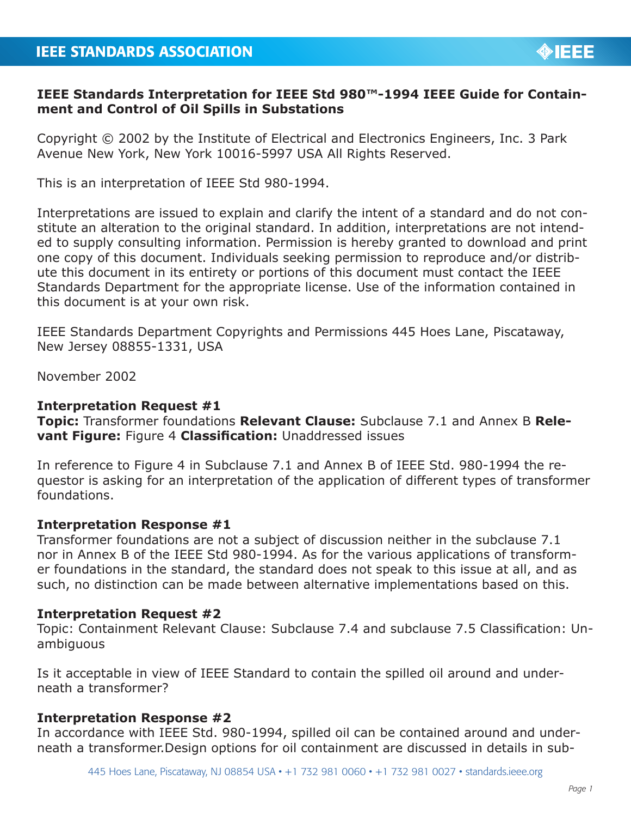

# **IEEE Standards Interpretation for IEEE Std 980™-1994 IEEE Guide for Containment and Control of Oil Spills in Substations**

Copyright © 2002 by the Institute of Electrical and Electronics Engineers, Inc. 3 Park Avenue New York, New York 10016-5997 USA All Rights Reserved.

This is an interpretation of IEEE Std 980-1994.

Interpretations are issued to explain and clarify the intent of a standard and do not constitute an alteration to the original standard. In addition, interpretations are not intended to supply consulting information. Permission is hereby granted to download and print one copy of this document. Individuals seeking permission to reproduce and/or distribute this document in its entirety or portions of this document must contact the IEEE Standards Department for the appropriate license. Use of the information contained in this document is at your own risk.

IEEE Standards Department Copyrights and Permissions 445 Hoes Lane, Piscataway, New Jersey 08855-1331, USA

November 2002

#### **Interpretation Request #1**

**Topic:** Transformer foundations **Relevant Clause:** Subclause 7.1 and Annex B **Relevant Figure:** Figure 4 **Classification:** Unaddressed issues

In reference to Figure 4 in Subclause 7.1 and Annex B of IEEE Std. 980-1994 the requestor is asking for an interpretation of the application of different types of transformer foundations.

#### **Interpretation Response #1**

Transformer foundations are not a subject of discussion neither in the subclause 7.1 nor in Annex B of the IEEE Std 980-1994. As for the various applications of transformer foundations in the standard, the standard does not speak to this issue at all, and as such, no distinction can be made between alternative implementations based on this.

# **Interpretation Request #2**

Topic: Containment Relevant Clause: Subclause 7.4 and subclause 7.5 Classification: Unambiguous

Is it acceptable in view of IEEE Standard to contain the spilled oil around and underneath a transformer?

# **Interpretation Response #2**

In accordance with IEEE Std. 980-1994, spilled oil can be contained around and underneath a transformer.Design options for oil containment are discussed in details in sub